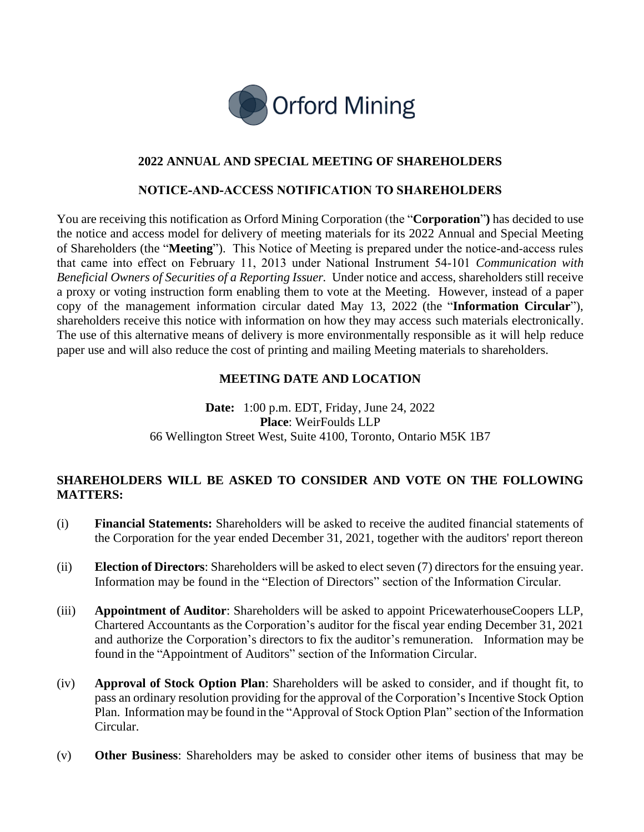

# **2022 ANNUAL AND SPECIAL MEETING OF SHAREHOLDERS**

## **NOTICE‐AND‐ACCESS NOTIFICATION TO SHAREHOLDERS**

You are receiving this notification as Orford Mining Corporation (the "**Corporation**"**)** has decided to use the notice and access model for delivery of meeting materials for its 2022 Annual and Special Meeting of Shareholders (the "**Meeting**"). This Notice of Meeting is prepared under the notice‐and‐access rules that came into effect on February 11, 2013 under National Instrument 54‐101 *Communication with Beneficial Owners of Securities of a Reporting Issuer.* Under notice and access, shareholders still receive a proxy or voting instruction form enabling them to vote at the Meeting. However, instead of a paper copy of the management information circular dated May 13, 2022 (the "**Information Circular**"), shareholders receive this notice with information on how they may access such materials electronically. The use of this alternative means of delivery is more environmentally responsible as it will help reduce paper use and will also reduce the cost of printing and mailing Meeting materials to shareholders.

## **MEETING DATE AND LOCATION**

**Date:** 1:00 p.m. EDT, Friday, June 24, 2022 **Place**: WeirFoulds LLP 66 Wellington Street West, Suite 4100, Toronto, Ontario M5K 1B7

## **SHAREHOLDERS WILL BE ASKED TO CONSIDER AND VOTE ON THE FOLLOWING MATTERS:**

- (i) **Financial Statements:** Shareholders will be asked to receive the audited financial statements of the Corporation for the year ended December 31, 2021, together with the auditors' report thereon
- (ii) **Election of Directors**: Shareholders will be asked to elect seven (7) directors for the ensuing year. Information may be found in the "Election of Directors" section of the Information Circular.
- (iii) **Appointment of Auditor**: Shareholders will be asked to appoint PricewaterhouseCoopers LLP, Chartered Accountants as the Corporation's auditor for the fiscal year ending December 31, 2021 and authorize the Corporation's directors to fix the auditor's remuneration. Information may be found in the "Appointment of Auditors" section of the Information Circular.
- (iv) **Approval of Stock Option Plan**: Shareholders will be asked to consider, and if thought fit, to pass an ordinary resolution providing for the approval of the Corporation's Incentive Stock Option Plan. Information may be found in the "Approval of Stock Option Plan" section of the Information Circular.
- (v) **Other Business**: Shareholders may be asked to consider other items of business that may be